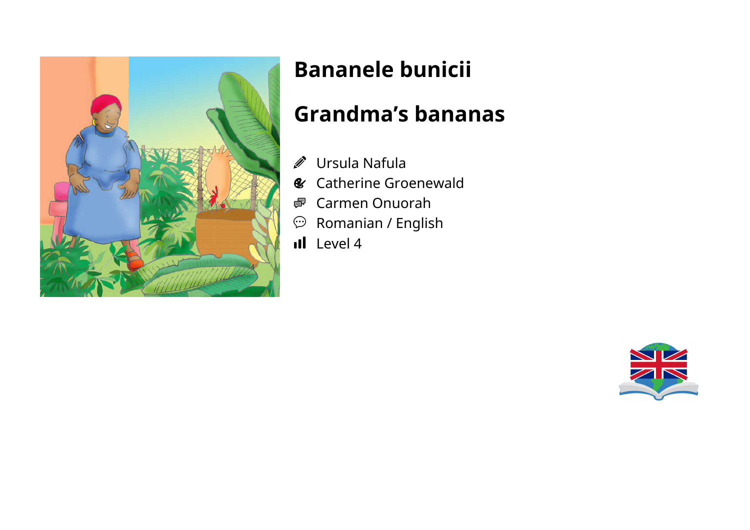

# **Bananele bunicii**

## **Grandma's bananas**

- Ursula Nafula
- **&** Catherine Groenewald
- Carmen Onuorah
- $\mathfrak{D}$  Romanian / English
- Il Level 4

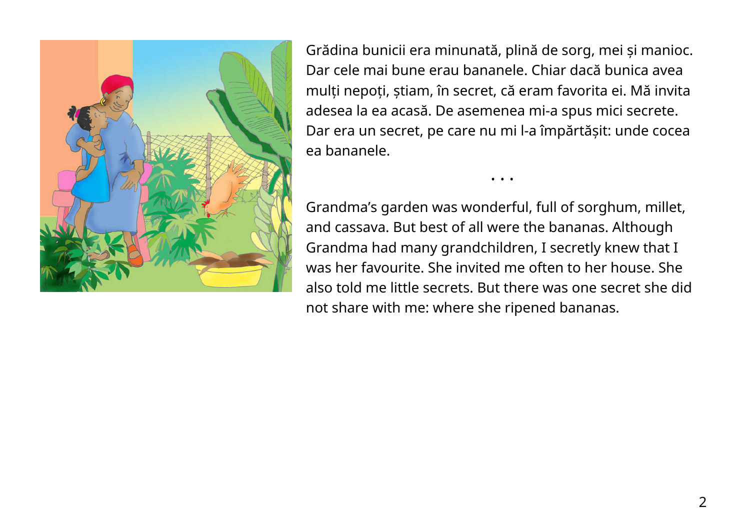

Grădina bunicii era minunată, plină de sorg, mei și manioc. Dar cele mai bune erau bananele. Chiar dacă bunica avea mulți nepoți, știam, în secret, că eram favorita ei. Mă invita adesea la ea acasă. De asemenea mi-a spus mici secrete. Dar era un secret, pe care nu mi l-a împărtășit: unde cocea ea bananele.

Grandma's garden was wonderful, full of sorghum, millet, and cassava. But best of all were the bananas. Although Grandma had many grandchildren, I secretly knew that I was her favourite. She invited me often to her house. She also told me little secrets. But there was one secret she did not share with me: where she ripened bananas.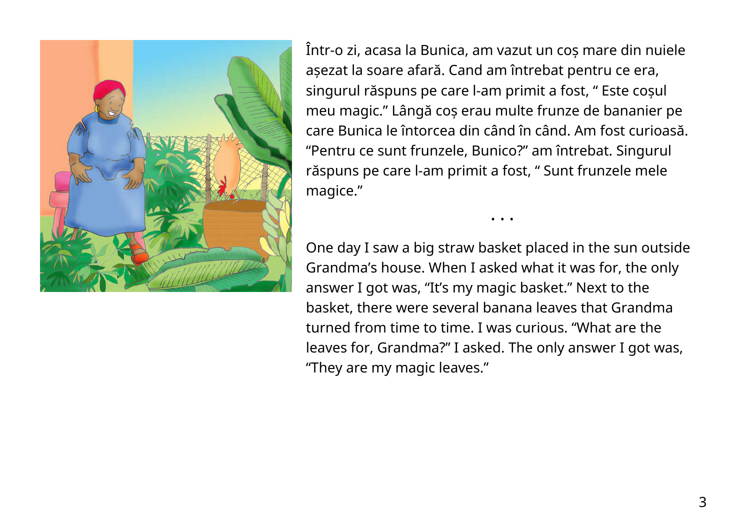

Într-o zi, acasa la Bunica, am vazut un coș mare din nuiele așezat la soare afară. Cand am întrebat pentru ce era, singurul răspuns pe care l-am primit a fost, " Este coșul meu magic." Lângă coș erau multe frunze de bananier pe care Bunica le întorcea din când în când. Am fost curioasă. "Pentru ce sunt frunzele, Bunico?" am întrebat. Singurul răspuns pe care l-am primit a fost, " Sunt frunzele mele magice."

One day I saw a big straw basket placed in the sun outside Grandma's house. When I asked what it was for, the only answer I got was, "It's my magic basket." Next to the basket, there were several banana leaves that Grandma turned from time to time. I was curious. "What are the leaves for, Grandma?" I asked. The only answer I got was, "They are my magic leaves."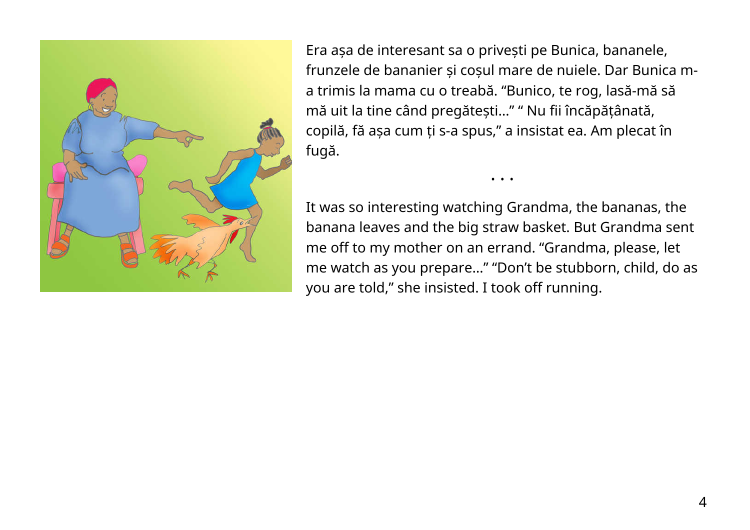

Era așa de interesant sa o privești pe Bunica, bananele, frunzele de bananier și coșul mare de nuiele. Dar Bunica ma trimis la mama cu o treabă. "Bunico, te rog, lasă-mă să mă uit la tine când pregătești…" " Nu fii încăpățânată, copilă, fă așa cum ți s-a spus," a insistat ea. Am plecat în fugă.

It was so interesting watching Grandma, the bananas, the banana leaves and the big straw basket. But Grandma sent me off to my mother on an errand. "Grandma, please, let me watch as you prepare…" "Don't be stubborn, child, do as you are told," she insisted. I took off running.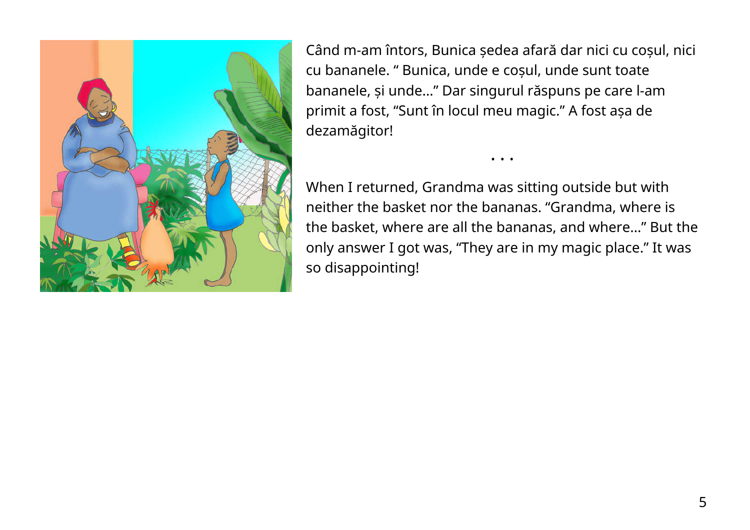

Când m-am întors, Bunica ședea afară dar nici cu coșul, nici cu bananele. " Bunica, unde e coșul, unde sunt toate bananele, și unde…" Dar singurul răspuns pe care l-am primit a fost, "Sunt în locul meu magic." A fost așa de dezamăgitor!

When I returned, Grandma was sitting outside but with neither the basket nor the bananas. "Grandma, where is the basket, where are all the bananas, and where…" But the only answer I got was, "They are in my magic place." It was so disappointing!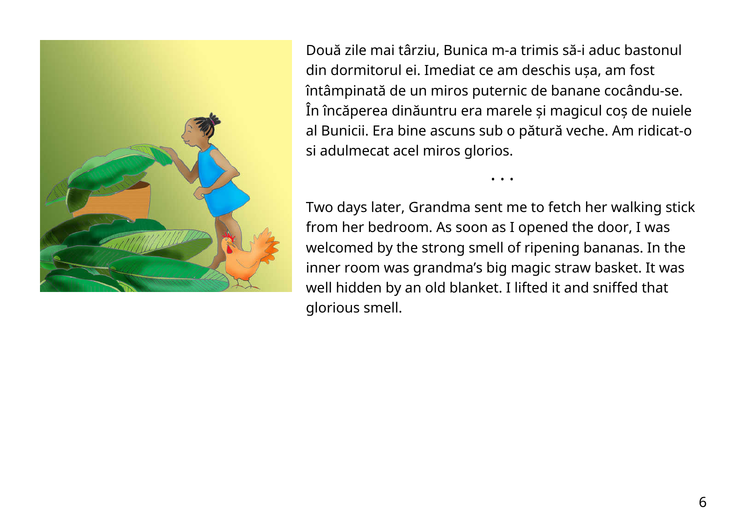

Două zile mai târziu, Bunica m-a trimis să-i aduc bastonul din dormitorul ei. Imediat ce am deschis ușa, am fost întâmpinată de un miros puternic de banane cocându-se. În încăperea dinăuntru era marele și magicul coș de nuiele al Bunicii. Era bine ascuns sub o pătură veche. Am ridicat-o si adulmecat acel miros glorios.

Two days later, Grandma sent me to fetch her walking stick from her bedroom. As soon as I opened the door, I was welcomed by the strong smell of ripening bananas. In the inner room was grandma's big magic straw basket. It was well hidden by an old blanket. I lifted it and sniffed that glorious smell.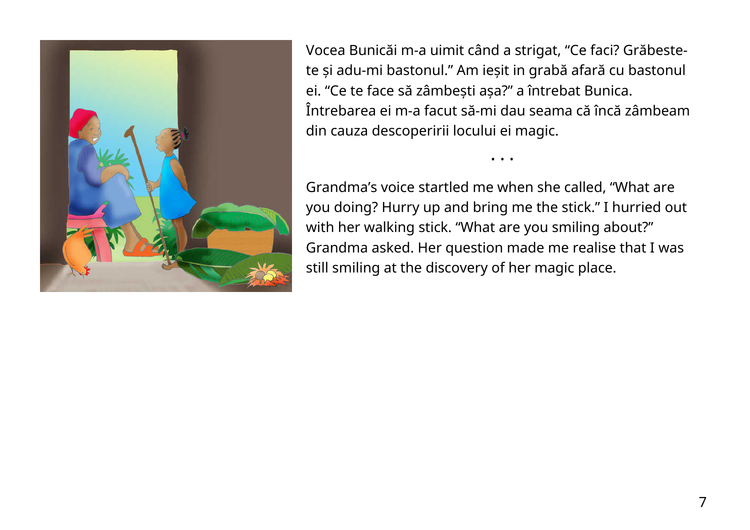

Vocea Bunicăi m-a uimit când a strigat, "Ce faci? Grăbestete și adu-mi bastonul." Am ieșit in grabă afară cu bastonul ei. "Ce te face să zâmbești așa?" a întrebat Bunica. Întrebarea ei m-a facut să-mi dau seama că încă zâmbeam din cauza descoperirii locului ei magic.

• • •

Grandma's voice startled me when she called, "What are you doing? Hurry up and bring me the stick." I hurried out with her walking stick. "What are you smiling about?" Grandma asked. Her question made me realise that I was still smiling at the discovery of her magic place.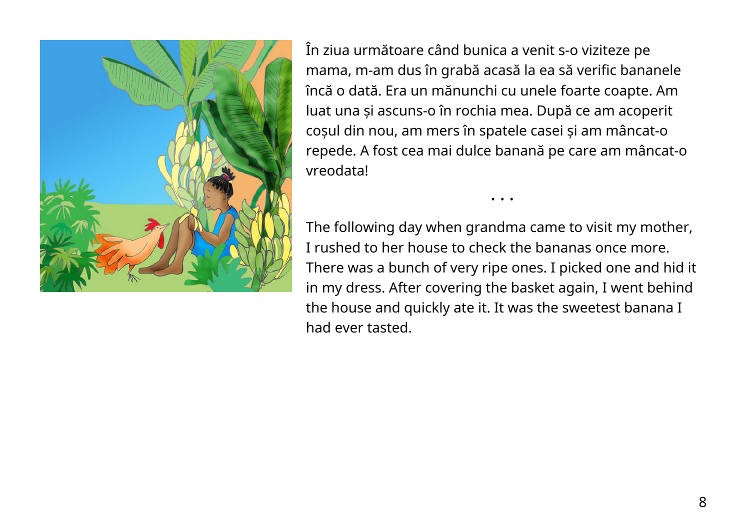

În ziua următoare când bunica a venit s-o viziteze pe mama, m-am dus în grabă acasă la ea să verific bananele încă o dată. Era un mănunchi cu unele foarte coapte. Am luat una și ascuns-o în rochia mea. După ce am acoperit coșul din nou, am mers în spatele casei și am mâncat-o repede. A fost cea mai dulce banană pe care am mâncat-o vreodata!

The following day when grandma came to visit my mother, I rushed to her house to check the bananas once more. There was a bunch of very ripe ones. I picked one and hid it in my dress. After covering the basket again, I went behind the house and quickly ate it. It was the sweetest banana I had ever tasted.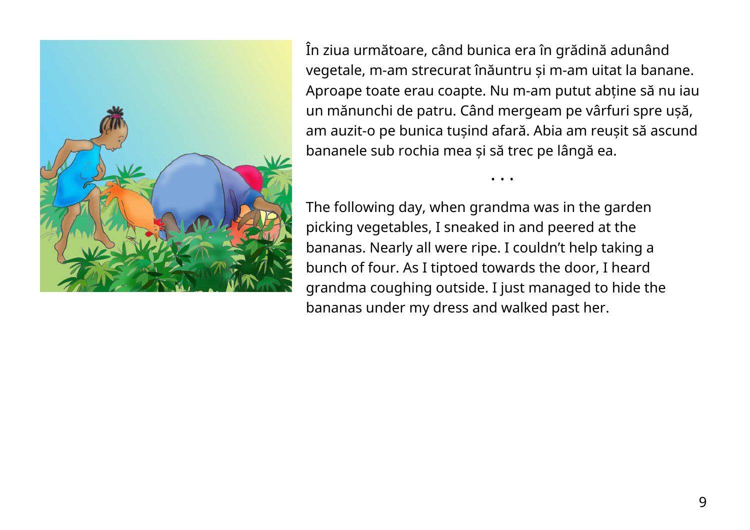

În ziua următoare, când bunica era în grădină adunând vegetale, m-am strecurat înăuntru și m-am uitat la banane. Aproape toate erau coapte. Nu m-am putut abține să nu iau un mănunchi de patru. Când mergeam pe vârfuri spre ușă, am auzit-o pe bunica tușind afară. Abia am reușit să ascund bananele sub rochia mea și să trec pe lângă ea.

• • •

The following day, when grandma was in the garden picking vegetables, I sneaked in and peered at the bananas. Nearly all were ripe. I couldn't help taking a bunch of four. As I tiptoed towards the door, I heard grandma coughing outside. I just managed to hide the bananas under my dress and walked past her.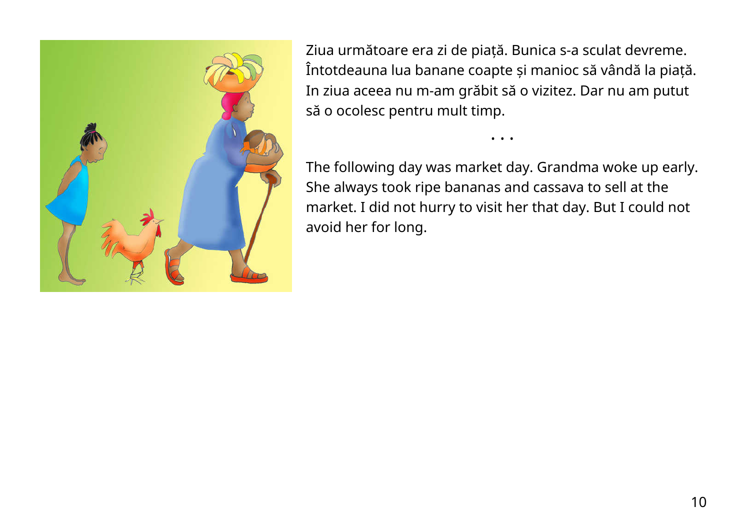

Ziua următoare era zi de piață. Bunica s-a sculat devreme. Întotdeauna lua banane coapte și manioc să vândă la piață. In ziua aceea nu m-am grăbit să o vizitez. Dar nu am putut să o ocolesc pentru mult timp.

The following day was market day. Grandma woke up early. She always took ripe bananas and cassava to sell at the market. I did not hurry to visit her that day. But I could not avoid her for long.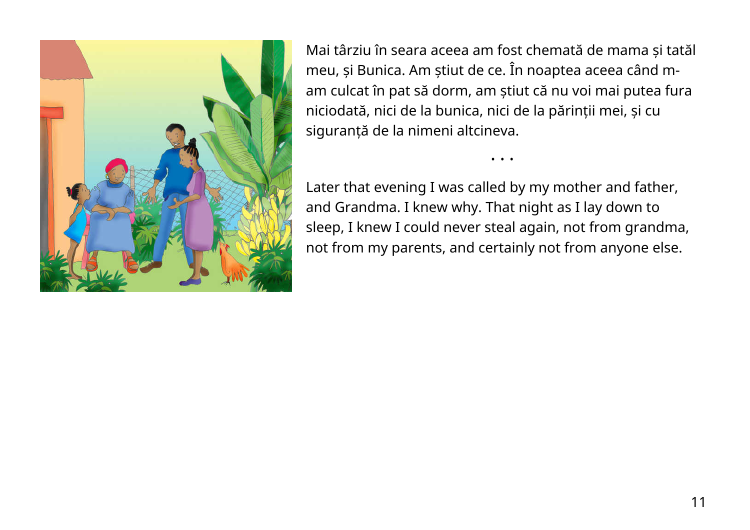

Mai târziu în seara aceea am fost chemată de mama și tatăl meu, și Bunica. Am știut de ce. În noaptea aceea când mam culcat în pat să dorm, am știut că nu voi mai putea fura niciodată, nici de la bunica, nici de la părinții mei, și cu siguranță de la nimeni altcineva.

• • •

Later that evening I was called by my mother and father, and Grandma. I knew why. That night as I lay down to sleep, I knew I could never steal again, not from grandma, not from my parents, and certainly not from anyone else.